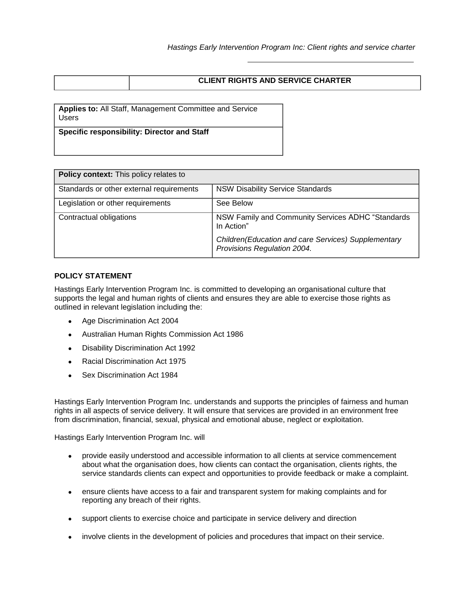| <b>CLIENT RIGHTS AND SERVICE CHARTER</b> |
|------------------------------------------|
|                                          |

**Applies to:** All Staff, Management Committee and Service Users

**Specific responsibility: Director and Staff**

| <b>Policy context:</b> This policy relates to |                                                                                    |  |  |  |  |  |
|-----------------------------------------------|------------------------------------------------------------------------------------|--|--|--|--|--|
| Standards or other external requirements      | <b>NSW Disability Service Standards</b>                                            |  |  |  |  |  |
| Legislation or other requirements             | See Below                                                                          |  |  |  |  |  |
| Contractual obligations                       | NSW Family and Community Services ADHC "Standards"<br>In Action"                   |  |  |  |  |  |
|                                               | Children(Education and care Services) Supplementary<br>Provisions Regulation 2004. |  |  |  |  |  |

# **POLICY STATEMENT**

Hastings Early Intervention Program Inc. is committed to developing an organisational culture that supports the legal and human rights of clients and ensures they are able to exercise those rights as outlined in relevant legislation including the:

- Age Discrimination Act 2004
- Australian Human Rights Commission Act 1986
- Disability Discrimination Act 1992
- Racial Discrimination Act 1975
- Sex Discrimination Act 1984

Hastings Early Intervention Program Inc. understands and supports the principles of fairness and human rights in all aspects of service delivery. It will ensure that services are provided in an environment free from discrimination, financial, sexual, physical and emotional abuse, neglect or exploitation.

Hastings Early Intervention Program Inc. will

- provide easily understood and accessible information to all clients at service commencement about what the organisation does, how clients can contact the organisation, clients rights, the service standards clients can expect and opportunities to provide feedback or make a complaint.
- ensure clients have access to a fair and transparent system for making complaints and for reporting any breach of their rights.
- support clients to exercise choice and participate in service delivery and direction
- involve clients in the development of policies and procedures that impact on their service.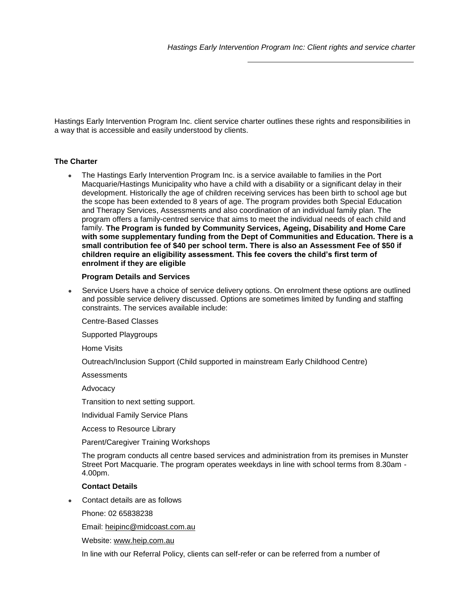Hastings Early Intervention Program Inc. client service charter outlines these rights and responsibilities in a way that is accessible and easily understood by clients.

## **The Charter**

 The Hastings Early Intervention Program Inc. is a service available to families in the Port Macquarie/Hastings Municipality who have a child with a disability or a significant delay in their development. Historically the age of children receiving services has been birth to school age but the scope has been extended to 8 years of age. The program provides both Special Education and Therapy Services, Assessments and also coordination of an individual family plan. The program offers a family-centred service that aims to meet the individual needs of each child and family. **The Program is funded by Community Services, Ageing, Disability and Home Care with some supplementary funding from the Dept of Communities and Education. There is a small contribution fee of \$40 per school term. There is also an Assessment Fee of \$50 if children require an eligibility assessment. This fee covers the child's first term of enrolment if they are eligible**

## **Program Details and Services**

 Service Users have a choice of service delivery options. On enrolment these options are outlined and possible service delivery discussed. Options are sometimes limited by funding and staffing constraints. The services available include:

Centre-Based Classes

Supported Playgroups

Home Visits

Outreach/Inclusion Support (Child supported in mainstream Early Childhood Centre)

**Assessments** 

Advocacy

Transition to next setting support.

Individual Family Service Plans

Access to Resource Library

Parent/Caregiver Training Workshops

The program conducts all centre based services and administration from its premises in Munster Street Port Macquarie. The program operates weekdays in line with school terms from 8.30am - 4.00pm.

## **Contact Details**

Contact details are as follows

Phone: 02 65838238

Email: [heipinc@midcoast.com.au](mailto:heipinc@midcoast.com.au)

Website: [www.heip.com.au](http://www.heip.com.au/)

In line with our Referral Policy, clients can self-refer or can be referred from a number of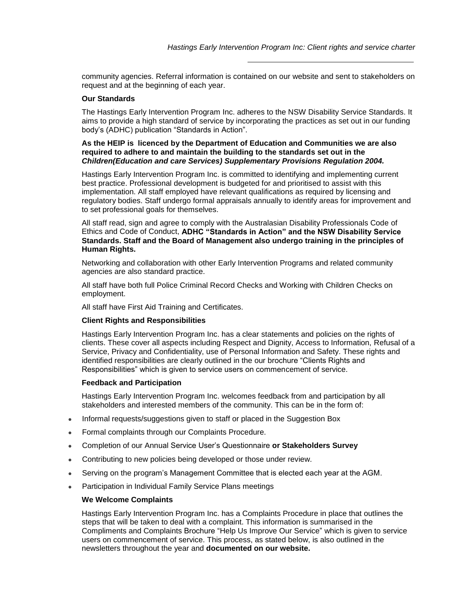community agencies. Referral information is contained on our website and sent to stakeholders on request and at the beginning of each year.

### **Our Standards**

The Hastings Early Intervention Program Inc. adheres to the NSW Disability Service Standards. It aims to provide a high standard of service by incorporating the practices as set out in our funding body's (ADHC) publication "Standards in Action".

## **As the HEIP is licenced by the Department of Education and Communities we are also required to adhere to and maintain the building to the standards set out in the**  *Children(Education and care Services) Supplementary Provisions Regulation 2004.*

Hastings Early Intervention Program Inc. is committed to identifying and implementing current best practice. Professional development is budgeted for and prioritised to assist with this implementation. All staff employed have relevant qualifications as required by licensing and regulatory bodies. Staff undergo formal appraisals annually to identify areas for improvement and to set professional goals for themselves.

All staff read, sign and agree to comply with the Australasian Disability Professionals Code of Ethics and Code of Conduct, **ADHC "Standards in Action" and the NSW Disability Service Standards. Staff and the Board of Management also undergo training in the principles of Human Rights.**

Networking and collaboration with other Early Intervention Programs and related community agencies are also standard practice.

All staff have both full Police Criminal Record Checks and Working with Children Checks on employment.

All staff have First Aid Training and Certificates.

## **Client Rights and Responsibilities**

Hastings Early Intervention Program Inc. has a clear statements and policies on the rights of clients. These cover all aspects including Respect and Dignity, Access to Information, Refusal of a Service, Privacy and Confidentiality, use of Personal Information and Safety. These rights and identified responsibilities are clearly outlined in the our brochure "Clients Rights and Responsibilities" which is given to service users on commencement of service.

#### **Feedback and Participation**

Hastings Early Intervention Program Inc. welcomes feedback from and participation by all stakeholders and interested members of the community. This can be in the form of:

- Informal requests/suggestions given to staff or placed in the Suggestion Box
- Formal complaints through our Complaints Procedure.
- Completion of our Annual Service User's Questionnaire **or Stakeholders Survey**
- Contributing to new policies being developed or those under review.
- Serving on the program's Management Committee that is elected each year at the AGM.
- Participation in Individual Family Service Plans meetings

## **We Welcome Complaints**

Hastings Early Intervention Program Inc. has a Complaints Procedure in place that outlines the steps that will be taken to deal with a complaint. This information is summarised in the Compliments and Complaints Brochure "Help Us Improve Our Service" which is given to service users on commencement of service. This process, as stated below, is also outlined in the newsletters throughout the year and **documented on our website.**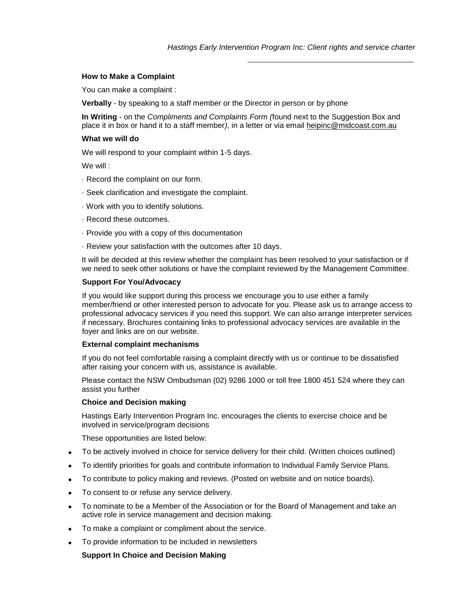### **How to Make a Complaint**

You can make a complaint :

**Verbally** - by speaking to a staff member or the Director in person or by phone

**In Writing** - on the *Compliments and Complaints Form (*found next to the Suggestion Box and place it in box or hand it to a staff member*)*, in a letter or via email heipinc@midcoast.com.au

### **What we will do**

We will respond to your complaint within 1-5 days.

We will :

- · Record the complaint on our form.
- · Seek clarification and investigate the complaint.
- · Work with you to identify solutions.
- · Record these outcomes.
- · Provide you with a copy of this documentation
- · Review your satisfaction with the outcomes after 10 days.

It will be decided at this review whether the complaint has been resolved to your satisfaction or if we need to seek other solutions or have the complaint reviewed by the Management Committee.

## **Support For You/Advocacy**

If you would like support during this process we encourage you to use either a family member/friend or other interested person to advocate for you. Please ask us to arrange access to professional advocacy services if you need this support. We can also arrange interpreter services if necessary. Brochures containing links to professional advocacy services are available in the foyer and links are on our website.

#### **External complaint mechanisms**

If you do not feel comfortable raising a complaint directly with us or continue to be dissatisfied after raising your concern with us, assistance is available.

Please contact the NSW Ombudsman (02) 9286 1000 or toll free 1800 451 524 where they can assist you further

#### **Choice and Decision making**

Hastings Early Intervention Program Inc. encourages the clients to exercise choice and be involved in service/program decisions

These opportunities are listed below:

- To be actively involved in choice for service delivery for their child. (Written choices outlined)
- To identify priorities for goals and contribute information to Individual Family Service Plans.
- To contribute to policy making and reviews. (Posted on website and on notice boards).
- To consent to or refuse any service delivery.
- To nominate to be a Member of the Association or for the Board of Management and take an active role in service management and decision making.
- To make a complaint or compliment about the service.
- To provide information to be included in newsletters

### **Support In Choice and Decision Making**